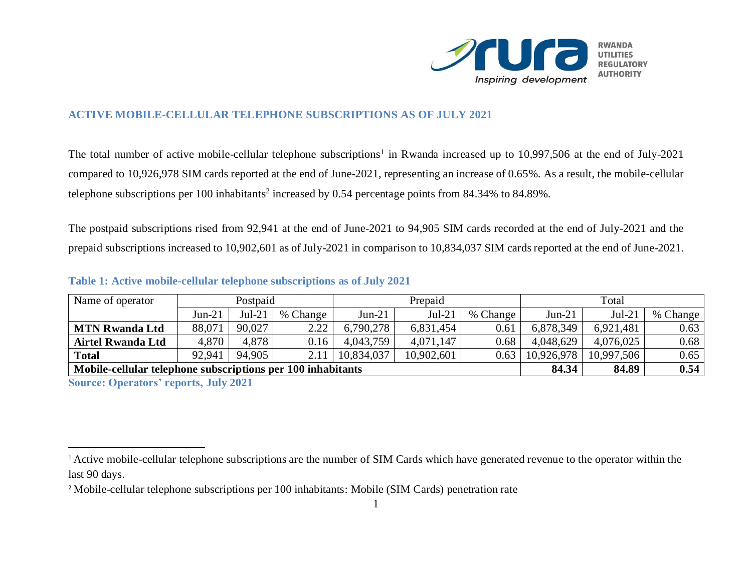

## **ACTIVE MOBILE-CELLULAR TELEPHONE SUBSCRIPTIONS AS OF JULY 2021**

The total number of active mobile-cellular telephone subscriptions<sup>1</sup> in Rwanda increased up to 10,997,506 at the end of July-2021 compared to 10,926,978 SIM cards reported at the end of June-2021, representing an increase of 0.65%. As a result, the mobile-cellular telephone subscriptions per 100 inhabitants<sup>2</sup> increased by 0.54 percentage points from 84.34% to 84.89%.

The postpaid subscriptions rised from 92,941 at the end of June-2021 to 94,905 SIM cards recorded at the end of July-2021 and the prepaid subscriptions increased to 10,902,601 as of July-2021 in comparison to 10,834,037 SIM cards reported at the end of June-2021.

| Name of operator                                                     | Postpaid |          |          | Prepaid    |            |          | Total      |            |          |
|----------------------------------------------------------------------|----------|----------|----------|------------|------------|----------|------------|------------|----------|
|                                                                      | $Jun-21$ | $Jul-21$ | % Change | $Jun-21$   | $Jul-21$   | % Change | $Jun-21$   | $Jul-21$   | % Change |
| <b>MTN Rwanda Ltd</b>                                                | 88,071   | 90.027   | 2.22     | 6,790,278  | 6,831,454  | 0.61     | 6,878,349  | 6,921,481  | 0.63     |
| <b>Airtel Rwanda Ltd</b>                                             | 4,870    | 4,878    | 0.16     | 4,043,759  | 4,071,147  | 0.68     | 4,048,629  | 4,076,025  | 0.68     |
| <b>Total</b>                                                         | 92,941   | 94.905   | 2.11     | 10,834,037 | 10,902,601 | 0.63     | 10,926,978 | 10,997,506 | 0.65     |
| 84.34<br>Mobile-cellular telephone subscriptions per 100 inhabitants |          |          |          |            |            |          |            | 84.89      | 0.54     |
| 0.11221                                                              |          |          |          |            |            |          |            |            |          |

## **Table 1: Active mobile-cellular telephone subscriptions as of July 2021**

**Source: Operators' reports, July 2021**

 $\overline{a}$ 

<sup>&</sup>lt;sup>1</sup> Active mobile-cellular telephone subscriptions are the number of SIM Cards which have generated revenue to the operator within the last 90 days.

<sup>&</sup>lt;sup>2</sup> Mobile-cellular telephone subscriptions per 100 inhabitants: Mobile (SIM Cards) penetration rate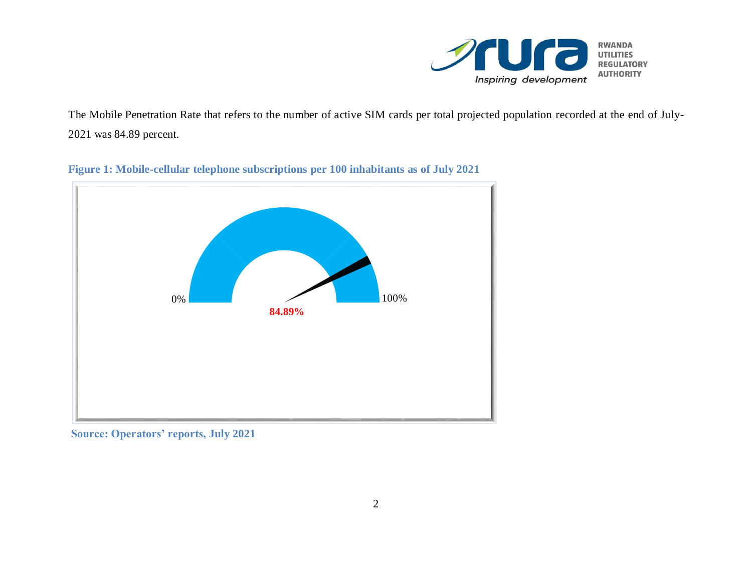

The Mobile Penetration Rate that refers to the number of active SIM cards per total projected population recorded at the end of July-2021 was 84.89 percent.



**Figure 1: Mobile-cellular telephone subscriptions per 100 inhabitants as of July 2021**

**Source: Operators' reports, July 2021**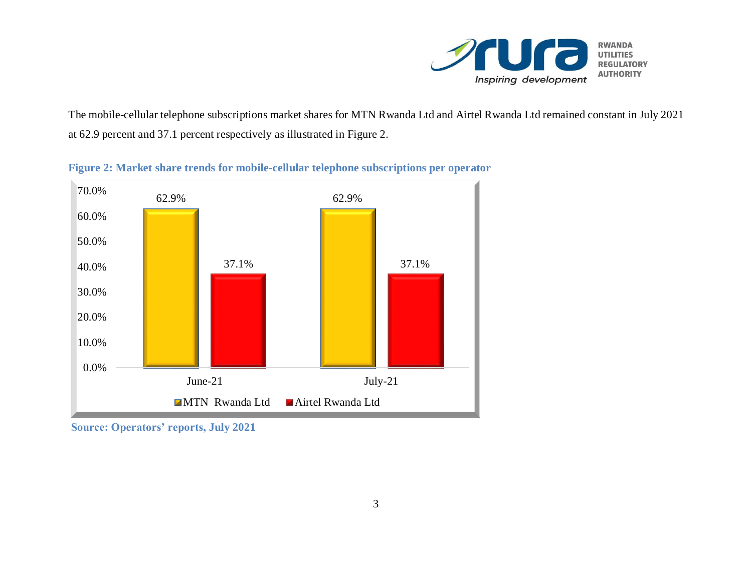

The mobile-cellular telephone subscriptions market shares for MTN Rwanda Ltd and Airtel Rwanda Ltd remained constant in July 2021 at 62.9 percent and 37.1 percent respectively as illustrated in Figure 2.



**Figure 2: Market share trends for mobile-cellular telephone subscriptions per operator**

**Source: Operators' reports, July 2021**